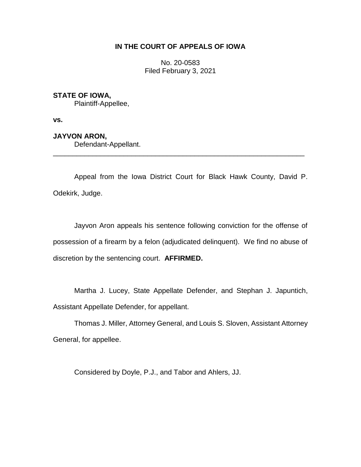# **IN THE COURT OF APPEALS OF IOWA**

No. 20-0583 Filed February 3, 2021

# **STATE OF IOWA,**

Plaintiff-Appellee,

**vs.**

**JAYVON ARON,**

Defendant-Appellant.

Appeal from the Iowa District Court for Black Hawk County, David P. Odekirk, Judge.

\_\_\_\_\_\_\_\_\_\_\_\_\_\_\_\_\_\_\_\_\_\_\_\_\_\_\_\_\_\_\_\_\_\_\_\_\_\_\_\_\_\_\_\_\_\_\_\_\_\_\_\_\_\_\_\_\_\_\_\_\_\_\_\_

Jayvon Aron appeals his sentence following conviction for the offense of possession of a firearm by a felon (adjudicated delinquent). We find no abuse of discretion by the sentencing court. **AFFIRMED.**

Martha J. Lucey, State Appellate Defender, and Stephan J. Japuntich, Assistant Appellate Defender, for appellant.

Thomas J. Miller, Attorney General, and Louis S. Sloven, Assistant Attorney General, for appellee.

Considered by Doyle, P.J., and Tabor and Ahlers, JJ.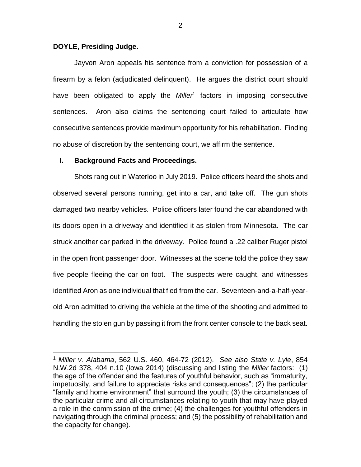## **DOYLE, Presiding Judge.**

 $\overline{a}$ 

Jayvon Aron appeals his sentence from a conviction for possession of a firearm by a felon (adjudicated delinquent). He argues the district court should have been obligated to apply the *Miller<sup>1</sup>* factors in imposing consecutive sentences. Aron also claims the sentencing court failed to articulate how consecutive sentences provide maximum opportunity for his rehabilitation. Finding no abuse of discretion by the sentencing court, we affirm the sentence.

### **I. Background Facts and Proceedings.**

Shots rang out in Waterloo in July 2019. Police officers heard the shots and observed several persons running, get into a car, and take off. The gun shots damaged two nearby vehicles. Police officers later found the car abandoned with its doors open in a driveway and identified it as stolen from Minnesota. The car struck another car parked in the driveway. Police found a .22 caliber Ruger pistol in the open front passenger door. Witnesses at the scene told the police they saw five people fleeing the car on foot. The suspects were caught, and witnesses identified Aron as one individual that fled from the car. Seventeen-and-a-half-yearold Aron admitted to driving the vehicle at the time of the shooting and admitted to handling the stolen gun by passing it from the front center console to the back seat.

<sup>1</sup> *Miller v. Alabama*, 562 U.S. 460, 464-72 (2012). *See also State v. Lyle*, 854 N.W.2d 378, 404 n.10 (Iowa 2014) (discussing and listing the *Miller* factors: (1) the age of the offender and the features of youthful behavior, such as "immaturity, impetuosity, and failure to appreciate risks and consequences"; (2) the particular "family and home environment" that surround the youth; (3) the circumstances of the particular crime and all circumstances relating to youth that may have played a role in the commission of the crime; (4) the challenges for youthful offenders in navigating through the criminal process; and (5) the possibility of rehabilitation and the capacity for change).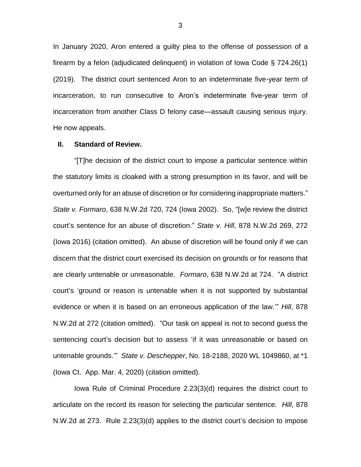In January 2020, Aron entered a guilty plea to the offense of possession of a firearm by a felon (adjudicated delinquent) in violation of Iowa Code § 724.26(1) (2019). The district court sentenced Aron to an indeterminate five-year term of incarceration, to run consecutive to Aron's indeterminate five-year term of incarceration from another Class D felony case—assault causing serious injury. He now appeals.

#### **II. Standard of Review.**

"[T]he decision of the district court to impose a particular sentence within the statutory limits is cloaked with a strong presumption in its favor, and will be overturned only for an abuse of discretion or for considering inappropriate matters." *State v. Formaro*, 638 N.W.2d 720, 724 (Iowa 2002). So, "[w]e review the district court's sentence for an abuse of discretion." *State v. Hill*, 878 N.W.2d 269, 272 (Iowa 2016) (citation omitted). An abuse of discretion will be found only if we can discern that the district court exercised its decision on grounds or for reasons that are clearly untenable or unreasonable. *Formaro*, 638 N.W.2d at 724. "A district court's 'ground or reason is untenable when it is not supported by substantial evidence or when it is based on an erroneous application of the law.'" *Hill*, 878 N.W.2d at 272 (citation omitted). "Our task on appeal is not to second guess the sentencing court's decision but to assess 'if it was unreasonable or based on untenable grounds.'" *State v. Deschepper*, No. 18-2188, 2020 WL 1049860, at \*1 (Iowa Ct. App. Mar. 4, 2020) (citation omitted).

Iowa Rule of Criminal Procedure 2.23(3)(d) requires the district court to articulate on the record its reason for selecting the particular sentence. *Hill*, 878 N.W.2d at 273. Rule 2.23(3)(d) applies to the district court's decision to impose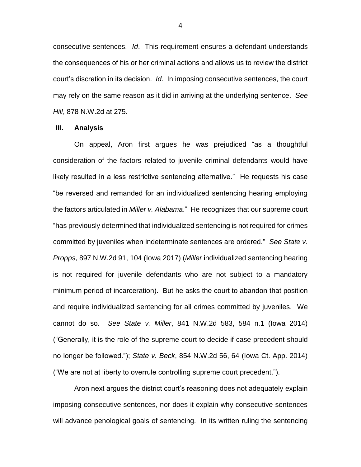consecutive sentences. *Id*. This requirement ensures a defendant understands the consequences of his or her criminal actions and allows us to review the district court's discretion in its decision. *Id*. In imposing consecutive sentences, the court may rely on the same reason as it did in arriving at the underlying sentence. *See Hill*, 878 N.W.2d at 275.

### **III. Analysis**

On appeal, Aron first argues he was prejudiced "as a thoughtful consideration of the factors related to juvenile criminal defendants would have likely resulted in a less restrictive sentencing alternative." He requests his case "be reversed and remanded for an individualized sentencing hearing employing the factors articulated in *Miller v. Alabama*." He recognizes that our supreme court "has previously determined that individualized sentencing is not required for crimes committed by juveniles when indeterminate sentences are ordered." *See State v. Propps*, 897 N.W.2d 91, 104 (Iowa 2017) (*Miller* individualized sentencing hearing is not required for juvenile defendants who are not subject to a mandatory minimum period of incarceration). But he asks the court to abandon that position and require individualized sentencing for all crimes committed by juveniles. We cannot do so. *See State v. Miller*, 841 N.W.2d 583, 584 n.1 (Iowa 2014) ("Generally, it is the role of the supreme court to decide if case precedent should no longer be followed."); *State v. Beck*, 854 N.W.2d 56, 64 (Iowa Ct. App. 2014) ("We are not at liberty to overrule controlling supreme court precedent.").

Aron next argues the district court's reasoning does not adequately explain imposing consecutive sentences, nor does it explain why consecutive sentences will advance penological goals of sentencing. In its written ruling the sentencing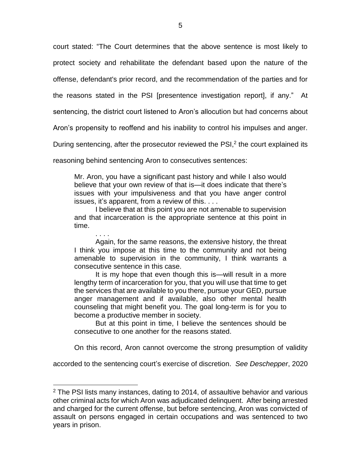court stated: "The Court determines that the above sentence is most likely to protect society and rehabilitate the defendant based upon the nature of the

offense, defendant's prior record, and the recommendation of the parties and for

the reasons stated in the PSI [presentence investigation report], if any." At

sentencing, the district court listened to Aron's allocution but had concerns about

Aron's propensity to reoffend and his inability to control his impulses and anger.

During sentencing, after the prosecutor reviewed the PSI,<sup>2</sup> the court explained its

reasoning behind sentencing Aron to consecutives sentences:

Mr. Aron, you have a significant past history and while I also would believe that your own review of that is—it does indicate that there's issues with your impulsiveness and that you have anger control issues, it's apparent, from a review of this. . . .

I believe that at this point you are not amenable to supervision and that incarceration is the appropriate sentence at this point in time.

. . . . Again, for the same reasons, the extensive history, the threat I think you impose at this time to the community and not being amenable to supervision in the community, I think warrants a consecutive sentence in this case.

It is my hope that even though this is—will result in a more lengthy term of incarceration for you, that you will use that time to get the services that are available to you there, pursue your GED, pursue anger management and if available, also other mental health counseling that might benefit you. The goal long-term is for you to become a productive member in society.

But at this point in time, I believe the sentences should be consecutive to one another for the reasons stated.

On this record, Aron cannot overcome the strong presumption of validity

accorded to the sentencing court's exercise of discretion. *See Deschepper*, 2020

 $\overline{a}$ 

<sup>&</sup>lt;sup>2</sup> The PSI lists many instances, dating to 2014, of assaultive behavior and various other criminal acts for which Aron was adjudicated delinquent. After being arrested and charged for the current offense, but before sentencing, Aron was convicted of assault on persons engaged in certain occupations and was sentenced to two years in prison.